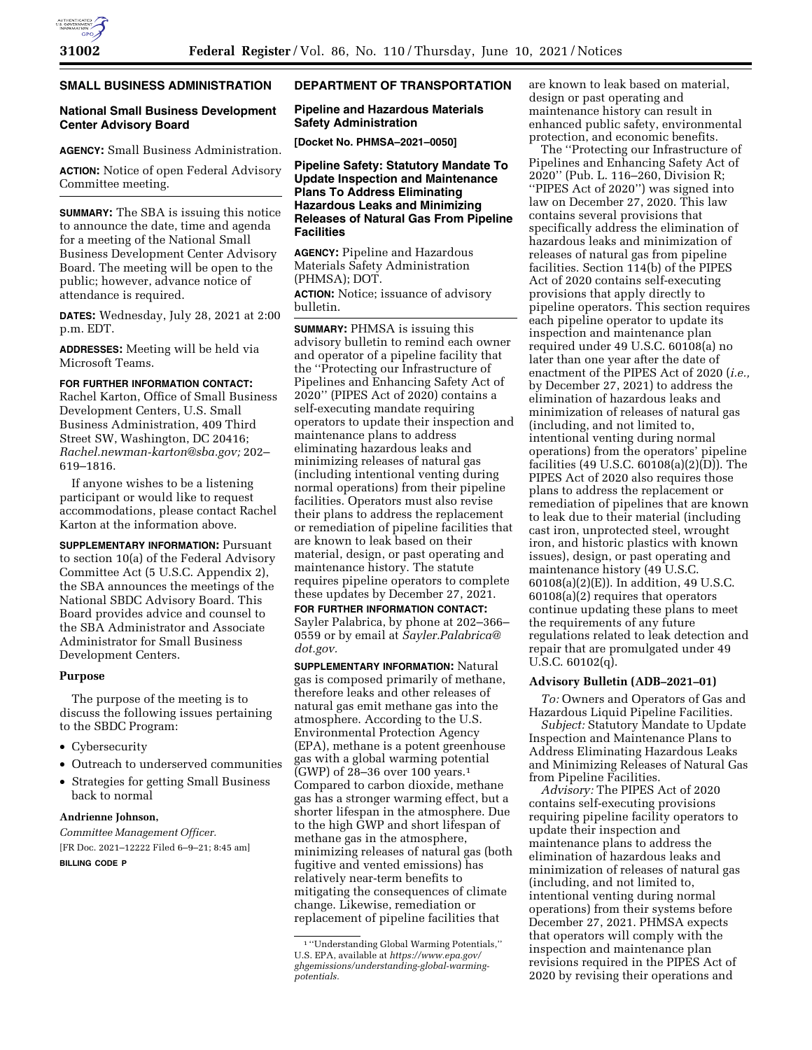#### **SMALL BUSINESS ADMINISTRATION**

# **National Small Business Development Center Advisory Board**

**AGENCY:** Small Business Administration.

**ACTION:** Notice of open Federal Advisory Committee meeting.

**SUMMARY:** The SBA is issuing this notice to announce the date, time and agenda for a meeting of the National Small Business Development Center Advisory Board. The meeting will be open to the public; however, advance notice of attendance is required.

**DATES:** Wednesday, July 28, 2021 at 2:00 p.m. EDT.

**ADDRESSES:** Meeting will be held via Microsoft Teams.

# **FOR FURTHER INFORMATION CONTACT:**

Rachel Karton, Office of Small Business Development Centers, U.S. Small Business Administration, 409 Third Street SW, Washington, DC 20416; *[Rachel.newman-karton@sba.gov;](mailto:Rachel.newman-karton@sba.gov)* 202– 619–1816.

If anyone wishes to be a listening participant or would like to request accommodations, please contact Rachel Karton at the information above.

**SUPPLEMENTARY INFORMATION: Pursuant** to section 10(a) of the Federal Advisory Committee Act (5 U.S.C. Appendix 2), the SBA announces the meetings of the National SBDC Advisory Board. This Board provides advice and counsel to the SBA Administrator and Associate Administrator for Small Business Development Centers.

## **Purpose**

The purpose of the meeting is to discuss the following issues pertaining to the SBDC Program:

- Cybersecurity
- Outreach to underserved communities
- Strategies for getting Small Business back to normal

# **Andrienne Johnson,**

*Committee Management Officer.*  [FR Doc. 2021–12222 Filed 6–9–21; 8:45 am] **BILLING CODE P** 

## **DEPARTMENT OF TRANSPORTATION**

# **Pipeline and Hazardous Materials Safety Administration**

**[Docket No. PHMSA–2021–0050]** 

**Pipeline Safety: Statutory Mandate To Update Inspection and Maintenance Plans To Address Eliminating Hazardous Leaks and Minimizing Releases of Natural Gas From Pipeline Facilities** 

**AGENCY:** Pipeline and Hazardous Materials Safety Administration (PHMSA); DOT.

**ACTION:** Notice; issuance of advisory bulletin.

**SUMMARY:** PHMSA is issuing this advisory bulletin to remind each owner and operator of a pipeline facility that the ''Protecting our Infrastructure of Pipelines and Enhancing Safety Act of 2020'' (PIPES Act of 2020) contains a self-executing mandate requiring operators to update their inspection and maintenance plans to address eliminating hazardous leaks and minimizing releases of natural gas (including intentional venting during normal operations) from their pipeline facilities. Operators must also revise their plans to address the replacement or remediation of pipeline facilities that are known to leak based on their material, design, or past operating and maintenance history. The statute requires pipeline operators to complete these updates by December 27, 2021.

**FOR FURTHER INFORMATION CONTACT:**  Sayler Palabrica, by phone at 202–366– 0559 or by email at *[Sayler.Palabrica@](mailto:Sayler.Palabrica@dot.gov) [dot.gov.](mailto:Sayler.Palabrica@dot.gov)* 

**SUPPLEMENTARY INFORMATION:** Natural gas is composed primarily of methane, therefore leaks and other releases of natural gas emit methane gas into the atmosphere. According to the U.S. Environmental Protection Agency (EPA), methane is a potent greenhouse gas with a global warming potential (GWP) of 28–36 over 100 years.1 Compared to carbon dioxide, methane gas has a stronger warming effect, but a shorter lifespan in the atmosphere. Due to the high GWP and short lifespan of methane gas in the atmosphere, minimizing releases of natural gas (both fugitive and vented emissions) has relatively near-term benefits to mitigating the consequences of climate change. Likewise, remediation or replacement of pipeline facilities that

are known to leak based on material, design or past operating and maintenance history can result in enhanced public safety, environmental protection, and economic benefits.

The ''Protecting our Infrastructure of Pipelines and Enhancing Safety Act of 2020'' (Pub. L. 116–260, Division R; ''PIPES Act of 2020'') was signed into law on December 27, 2020. This law contains several provisions that specifically address the elimination of hazardous leaks and minimization of releases of natural gas from pipeline facilities. Section 114(b) of the PIPES Act of 2020 contains self-executing provisions that apply directly to pipeline operators. This section requires each pipeline operator to update its inspection and maintenance plan required under 49 U.S.C. 60108(a) no later than one year after the date of enactment of the PIPES Act of 2020 (*i.e.,*  by December 27, 2021) to address the elimination of hazardous leaks and minimization of releases of natural gas (including, and not limited to, intentional venting during normal operations) from the operators' pipeline facilities (49 U.S.C. 60108(a)(2)(D)). The PIPES Act of 2020 also requires those plans to address the replacement or remediation of pipelines that are known to leak due to their material (including cast iron, unprotected steel, wrought iron, and historic plastics with known issues), design, or past operating and maintenance history (49 U.S.C. 60108(a)(2)(E)). In addition, 49 U.S.C. 60108(a)(2) requires that operators continue updating these plans to meet the requirements of any future regulations related to leak detection and repair that are promulgated under 49 U.S.C. 60102(q).

#### **Advisory Bulletin (ADB–2021–01)**

*To:* Owners and Operators of Gas and Hazardous Liquid Pipeline Facilities.

*Subject:* Statutory Mandate to Update Inspection and Maintenance Plans to Address Eliminating Hazardous Leaks and Minimizing Releases of Natural Gas from Pipeline Facilities.

*Advisory:* The PIPES Act of 2020 contains self-executing provisions requiring pipeline facility operators to update their inspection and maintenance plans to address the elimination of hazardous leaks and minimization of releases of natural gas (including, and not limited to, intentional venting during normal operations) from their systems before December 27, 2021. PHMSA expects that operators will comply with the inspection and maintenance plan revisions required in the PIPES Act of 2020 by revising their operations and

<sup>1</sup> ''Understanding Global Warming Potentials,'' U.S. EPA, available at *[https://www.epa.gov/](https://www.epa.gov/ghgemissions/understanding-global-warming-potentials)  [ghgemissions/understanding-global-warming](https://www.epa.gov/ghgemissions/understanding-global-warming-potentials)[potentials.](https://www.epa.gov/ghgemissions/understanding-global-warming-potentials)*